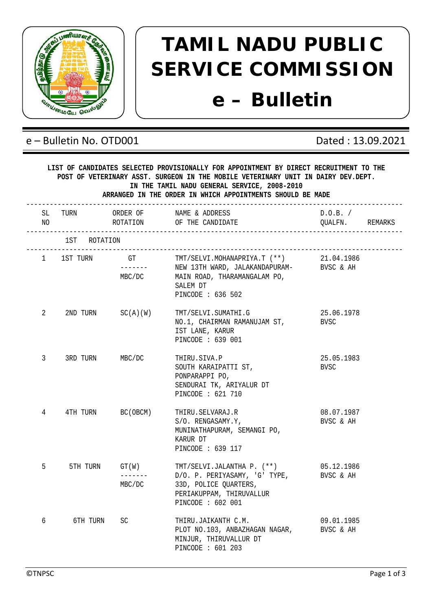

## **TAMIL NADU PUBLIC SERVICE COMMISSION e – Bulletin**

## e – Bulletin No. OTD001 Dated : 13.09.2021

|           | LIST OF CANDIDATES SELECTED PROVISIONALLY FOR APPOINTMENT BY DIRECT RECRUITMENT TO THE<br>POST OF VETERINARY ASST. SURGEON IN THE MOBILE VETERINARY UNIT IN DAIRY DEV. DEPT.<br>IN THE TAMIL NADU GENERAL SERVICE, 2008-2010<br>ARRANGED IN THE ORDER IN WHICH APPOINTMENTS SHOULD BE MADE |                       |                                                                                                                                                                           |                             |  |  |  |
|-----------|--------------------------------------------------------------------------------------------------------------------------------------------------------------------------------------------------------------------------------------------------------------------------------------------|-----------------------|---------------------------------------------------------------------------------------------------------------------------------------------------------------------------|-----------------------------|--|--|--|
| SL<br>NO. |                                                                                                                                                                                                                                                                                            |                       | TURN ORDER OF NAME & ADDRESS<br>ROTATION OF THE CANDIDATE                                                                                                                 | D.O.B. /<br>QUALFN. REMARKS |  |  |  |
|           | 1ST ROTATION                                                                                                                                                                                                                                                                               |                       |                                                                                                                                                                           |                             |  |  |  |
|           |                                                                                                                                                                                                                                                                                            | MBC/DC                | 1 1ST TURN GT TMT/SELVI.MOHANAPRIYA.T (**) 21.04.1986<br>------ NEW 13TH WARD, JALAKANDAPURAM- BVSC & AH<br>MAIN ROAD, THARAMANGALAM PO,<br>SALEM DT<br>PINCODE : 636 502 |                             |  |  |  |
| 2         |                                                                                                                                                                                                                                                                                            | $2ND$ TURN $SC(A)(W)$ | TMT/SELVI.SUMATHI.G<br>NO.1, CHAIRMAN RAMANUJAM ST, BVSC<br>IST LANE, KARUR<br>PINCODE : 639 001                                                                          | 25.06.1978                  |  |  |  |
| 3         | 3RD TURN                                                                                                                                                                                                                                                                                   | MBC/DC                | THIRU.SIVA.P<br>SOUTH KARAIPATTI ST.<br>PONPARAPPI PO,<br>SENDURAI TK, ARIYALUR DT<br>PINCODE : 621 710                                                                   | 25.05.1983<br>BVSC          |  |  |  |
| 4         |                                                                                                                                                                                                                                                                                            | 4TH TURN BC(OBCM)     | THIRU.SELVARAJ.R<br>S/O. RENGASAMY.Y,<br>MUNINATHAPURAM, SEMANGI PO,<br>KARUR DT<br>PINCODE : 639 117                                                                     | 08.07.1987<br>BVSC & AH     |  |  |  |
| 5         | 5TH TURN                                                                                                                                                                                                                                                                                   | -------<br>MBC/DC     | $GT(W)$ TMT/SELVI.JALANTHA P. $(**)$ 05.12.1986<br>D/O. P. PERIYASAMY, 'G' TYPE, BVSC & AH<br>33D, POLICE QUARTERS,<br>PERIAKUPPAM, THIRUVALLUR<br>PINCODE : 602 001      |                             |  |  |  |
| 6         | 6TH TURN                                                                                                                                                                                                                                                                                   | SC.                   | THIRU.JAIKANTH C.M.<br>PLOT NO.103, ANBAZHAGAN NAGAR,<br>MINJUR, THIRUVALLUR DT<br>PINCODE : 601 203                                                                      | 09.01.1985<br>BVSC & AH     |  |  |  |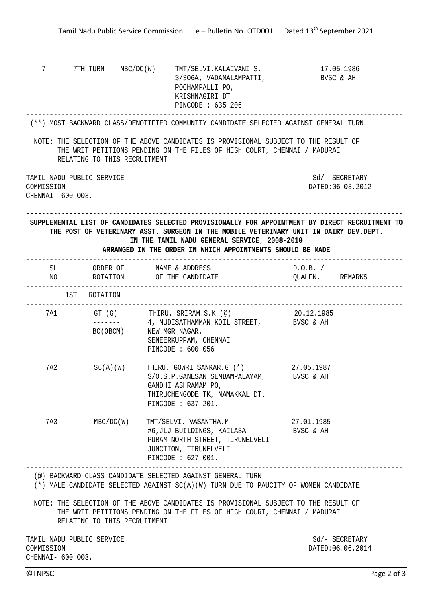| 7                                                                                                                                                                                                                                                 | 7TH TURN MBC/DC(W)           | TMT/SELVI.KALAIVANI S.<br>3/306A, VADAMALAMPATTI,<br>POCHAMPALLI PO,<br>KRISHNAGIRI DT<br>PINCODE : 635 206                                                                                                                    | 17.05.1986<br>BVSC & AH                                                                         |
|---------------------------------------------------------------------------------------------------------------------------------------------------------------------------------------------------------------------------------------------------|------------------------------|--------------------------------------------------------------------------------------------------------------------------------------------------------------------------------------------------------------------------------|-------------------------------------------------------------------------------------------------|
|                                                                                                                                                                                                                                                   |                              | (**) MOST BACKWARD CLASS/DENOTIFIED COMMUNITY CANDIDATE SELECTED AGAINST GENERAL TURN                                                                                                                                          |                                                                                                 |
|                                                                                                                                                                                                                                                   | RELATING TO THIS RECRUITMENT | NOTE: THE SELECTION OF THE ABOVE CANDIDATES IS PROVISIONAL SUBJECT TO THE RESULT OF<br>THE WRIT PETITIONS PENDING ON THE FILES OF HIGH COURT, CHENNAI / MADURAI                                                                |                                                                                                 |
| COMMISSION<br>CHENNAI- 600 003.                                                                                                                                                                                                                   | TAMIL NADU PUBLIC SERVICE    |                                                                                                                                                                                                                                | Sd/- SECRETARY<br>DATED:06.03.2012                                                              |
|                                                                                                                                                                                                                                                   |                              | THE POST OF VETERINARY ASST. SURGEON IN THE MOBILE VETERINARY UNIT IN DAIRY DEV.DEPT.<br>IN THE TAMIL NADU GENERAL SERVICE, 2008-2010<br>ARRANGED IN THE ORDER IN WHICH APPOINTMENTS SHOULD BE MADE<br>_______________________ | SUPPLEMENTAL LIST OF CANDIDATES SELECTED PROVISIONALLY FOR APPOINTMENT BY DIRECT RECRUITMENT TO |
| SL and the state of the state of the state of the state of the state of the state of the state of the state of the state of the state of the state of the state of the state of the state of the state of the state of the sta<br>NO <sub>n</sub> |                              | ORDER OF           NAME & ADDRESS<br>ROTATION OF THE CANDIDATE                                                                                                                                                                 | $D.O.B.$ /<br>QUALFN. REMARKS                                                                   |
|                                                                                                                                                                                                                                                   | 1ST ROTATION                 |                                                                                                                                                                                                                                |                                                                                                 |
|                                                                                                                                                                                                                                                   | _______                      | --------------------------------<br>7A1 GT (G) THIRU. SRIRAM.S.K (@) 20.12.1985<br>4, MUDISATHAMMAN KOIL STREET, BVSC & AH                                                                                                     |                                                                                                 |
|                                                                                                                                                                                                                                                   | BC (OBCM)                    | NEW MGR NAGAR,<br>SENEERKUPPAM, CHENNAI.<br>PINCODE : 600 056                                                                                                                                                                  |                                                                                                 |
| 7A2                                                                                                                                                                                                                                               | $SC(A)$ $(W)$                | THIRU. GOWRI SANKAR.G (*) 27.05.1987<br>S/O.S.P.GANESAN, SEMBAMPALAYAM, BVSC & AH<br>GANDHI ASHRAMAM PO,<br>THIRUCHENGODE TK, NAMAKKAL DT.<br>PINCODE : 637 201.                                                               |                                                                                                 |
| 7A3                                                                                                                                                                                                                                               | MBC/DC(W)                    | TMT/SELVI. VASANTHA.M<br>#6,JLJ BUILDINGS, KAILASA<br>PURAM NORTH STREET, TIRUNELVELI<br>JUNCTION, TIRUNELVELI.<br>PINCODE : 627 001.                                                                                          | 27.01.1985<br>BVSC & AH                                                                         |
|                                                                                                                                                                                                                                                   |                              | (@) BACKWARD CLASS CANDIDATE SELECTED AGAINST GENERAL TURN<br>(*) MALE CANDIDATE SELECTED AGAINST SC(A)(W) TURN DUE TO PAUCITY OF WOMEN CANDIDATE                                                                              | -----------------------------                                                                   |
|                                                                                                                                                                                                                                                   | RELATING TO THIS RECRUITMENT | NOTE: THE SELECTION OF THE ABOVE CANDIDATES IS PROVISIONAL SUBJECT TO THE RESULT OF<br>THE WRIT PETITIONS PENDING ON THE FILES OF HIGH COURT, CHENNAI / MADURAI                                                                |                                                                                                 |
| COMMISSION<br>CHENNAI- 600 003.                                                                                                                                                                                                                   | TAMIL NADU PUBLIC SERVICE    |                                                                                                                                                                                                                                | $Sd$ / - SECRETARY<br>DATED: 06.06.2014                                                         |